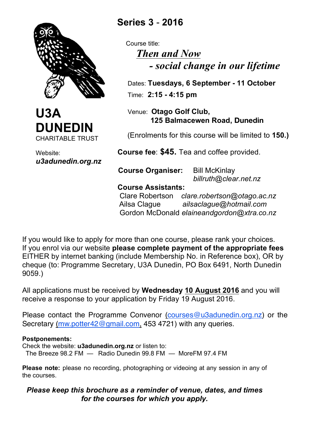



Website: *u3adunedin.org.nz*

## **Series 3** - **2016**

 Course title: *Then and Now - social change in our lifetime*

 Dates: **Tuesdays, 6 September - 11 October** Time: **2:15 - 4:15 pm**

 Venue: **Otago Golf Club, 125 Balmacewen Road, Dunedin**

(Enrolments for this course will be limited to **150.)**

 **Course fee**: **\$45.** Tea and coffee provided.

 **Course Organiser:** Bill McKinlay *billruth@clear.net.nz*

 **Course Assistants:**

 Clare Robertson *clare.robertson@otago.ac.nz* Ailsa Clague *ailsaclague@hotmail.com* Gordon McDonald *elaineandgordon@xtra.co.nz*

If you would like to apply for more than one course, please rank your choices. If you enrol via our website **please complete payment of the appropriate fees** EITHER by internet banking (include Membership No. in Reference box), OR by cheque (to: Programme Secretary, U3A Dunedin, PO Box 6491, North Dunedin 9059.)

All applications must be received by **Wednesday 10 August 2016** and you will receive a response to your application by Friday 19 August 2016.

Please contact the Programme Convenor (courses@u3adunedin.org.nz) or the Secretary (mw.potter42@gmail.com, 453 4721) with any queries.

## **Postponements:**

Check the website: **u3adunedin.org.nz** or listen to: The Breeze 98.2 FM — Radio Dunedin 99.8 FM — MoreFM 97.4 FM

**Please note:** please no recording, photographing or videoing at any session in any of the courses.

*Please keep this brochure as a reminder of venue, dates, and times for the courses for which you apply.*